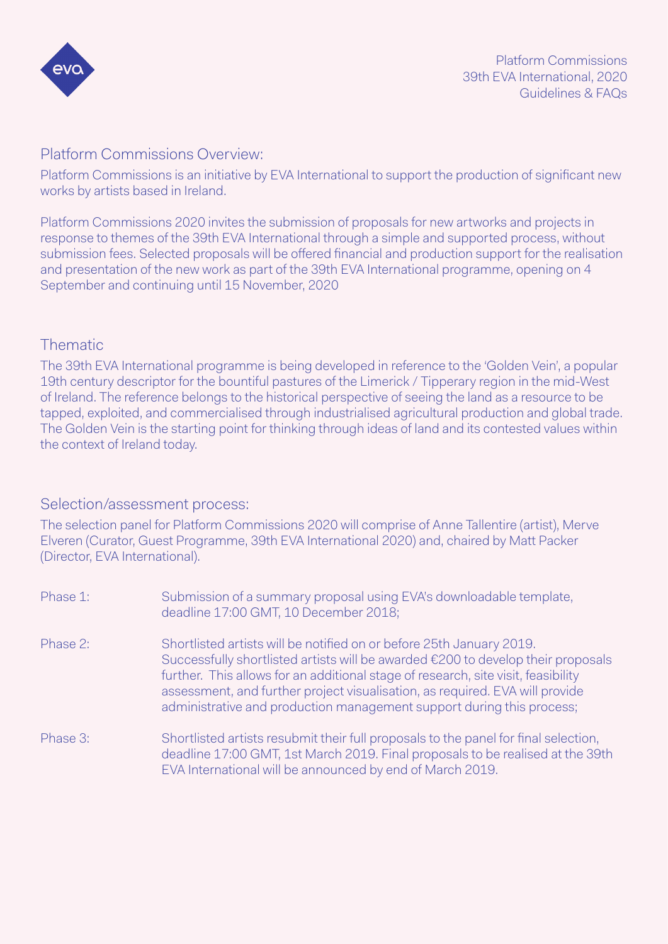

#### Platform Commissions Overview:

Platform Commissions is an initiative by EVA International to support the production of significant new works by artists based in Ireland.

Platform Commissions 2020 invites the submission of proposals for new artworks and projects in response to themes of the 39th EVA International through a simple and supported process, without submission fees. Selected proposals will be offered financial and production support for the realisation and presentation of the new work as part of the 39th EVA International programme, opening on 4 September and continuing until 15 November, 2020

## Thematic

The 39th EVA International programme is being developed in reference to the 'Golden Vein', a popular 19th century descriptor for the bountiful pastures of the Limerick / Tipperary region in the mid-West of Ireland. The reference belongs to the historical perspective of seeing the land as a resource to be tapped, exploited, and commercialised through industrialised agricultural production and global trade. The Golden Vein is the starting point for thinking through ideas of land and its contested values within the context of Ireland today.

### Selection/assessment process:

The selection panel for Platform Commissions 2020 will comprise of Anne Tallentire (artist), Merve Elveren (Curator, Guest Programme, 39th EVA International 2020) and, chaired by Matt Packer (Director, EVA International).

| Phase 1: | Submission of a summary proposal using EVA's downloadable template,<br>deadline 17:00 GMT, 10 December 2018;                                                                                                                                                                                                                                                                                           |
|----------|--------------------------------------------------------------------------------------------------------------------------------------------------------------------------------------------------------------------------------------------------------------------------------------------------------------------------------------------------------------------------------------------------------|
| Phase 2: | Shortlisted artists will be notified on or before 25th January 2019.<br>Successfully shortlisted artists will be awarded €200 to develop their proposals<br>further. This allows for an additional stage of research, site visit, feasibility<br>assessment, and further project visualisation, as required. EVA will provide<br>administrative and production management support during this process; |
| Phase 3: | Shortlisted artists resubmit their full proposals to the panel for final selection,<br>deadline 17:00 GMT, 1st March 2019. Final proposals to be realised at the 39th<br>EVA International will be announced by end of March 2019.                                                                                                                                                                     |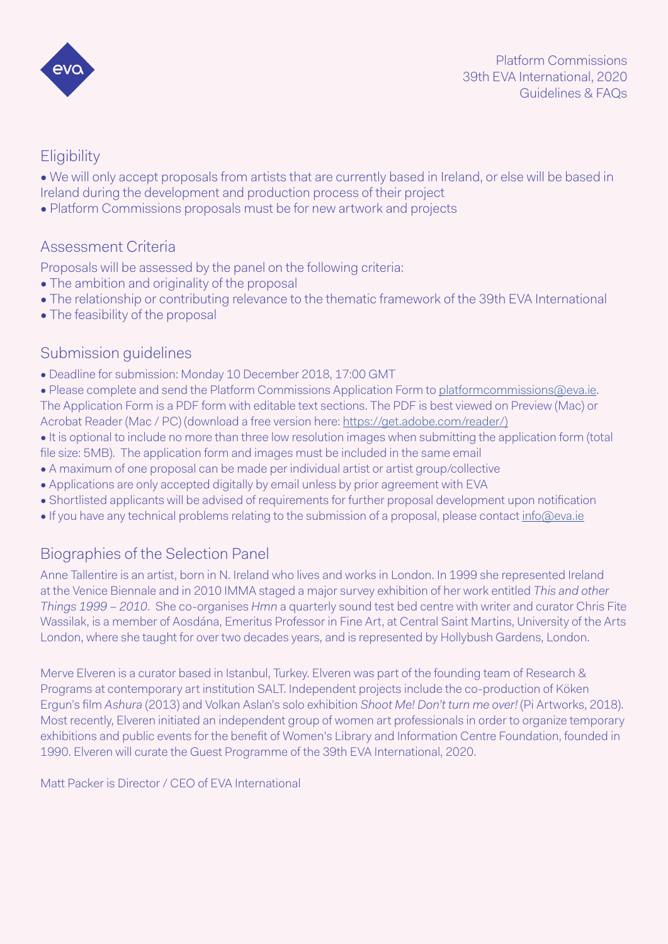

# **Eligibility**

• We will only accept proposals from artists that are currently based in Ireland, or else will be based in Ireland during the development and production process of their project

• Platform Commissions proposals must be for new artwork and projects

## Assessment Criteria

Proposals will be assessed by the panel on the following criteria:

- The ambition and originality of the proposal
- The relationship or contributing relevance to the thematic framework of the 39th EVA International
- The feasibility of the proposal

### Submission guidelines

- Deadline for submission: Monday 10 December 2018, 17:00 GMT
- Please complete and send the Platform Commissions Application Form to [platformcommissions@eva.ie.](mailto:platformcommissions%40eva.ie?subject=Platform%20Commissions%202020) The Application Form is a PDF form with editable text sections. The PDF is best viewed on Preview (Mac) or Acrobat Reader (Mac / PC) (download a free version here: [https://get.adobe.com/reader/\)](https://get.adobe.com/reader/))
- It is optional to include no more than three low resolution images when submitting the application form (total file size: 5MB). The application form and images must be included in the same email
- A maximum of one proposal can be made per individual artist or artist group/collective
- Applications are only accepted digitally by email unless by prior agreement with EVA
- Shortlisted applicants will be advised of requirements for further proposal development upon notification
- If you have any technical problems relating to the submission of a proposal, please contact [info@eva.ie](mailto:info%40eva.ie?subject=)

# Biographies of the Selection Panel

Anne Tallentire is an artist, born in N. Ireland who lives and works in London. In 1999 she represented Ireland at the Venice Biennale and in 2010 IMMA staged a major survey exhibition of her work entitled *This and other Things 1999 – 2010*. She co-organises *Hmn* a quarterly sound test bed centre with writer and curator Chris Fite Wassilak, is a member of Aosdána, Emeritus Professor in Fine Art, at Central Saint Martins, University of the Arts London, where she taught for over two decades years, and is represented by Hollybush Gardens, London.

Merve Elveren is a curator based in Istanbul, Turkey. Elveren was part of the founding team of Research & Programs at contemporary art institution SALT. Independent projects include the co-production of Köken Ergun's film *Ashura* (2013) and Volkan Aslan's solo exhibition *Shoot Me! Don't turn me over!* (Pi Artworks, 2018). Most recently, Elveren initiated an independent group of women art professionals in order to organize temporary exhibitions and public events for the benefit of Women's Library and Information Centre Foundation, founded in 1990. Elveren will curate the Guest Programme of the 39th EVA International, 2020.

Matt Packer is Director / CEO of EVA International